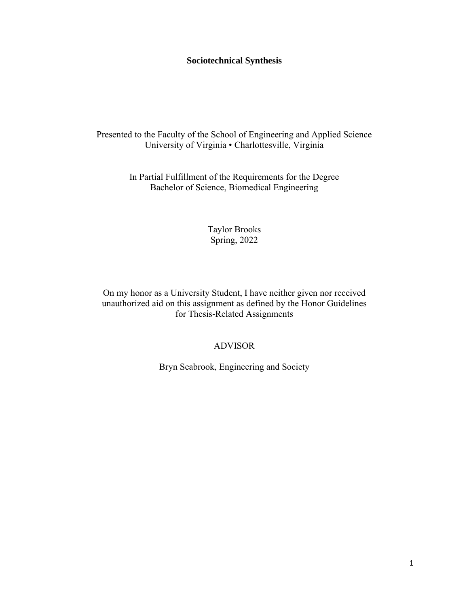## **Sociotechnical Synthesis**

Presented to the Faculty of the School of Engineering and Applied Science University of Virginia • Charlottesville, Virginia

> In Partial Fulfillment of the Requirements for the Degree Bachelor of Science, Biomedical Engineering

> > Taylor Brooks Spring, 2022

On my honor as a University Student, I have neither given nor received unauthorized aid on this assignment as defined by the Honor Guidelines for Thesis-Related Assignments

## ADVISOR

Bryn Seabrook, Engineering and Society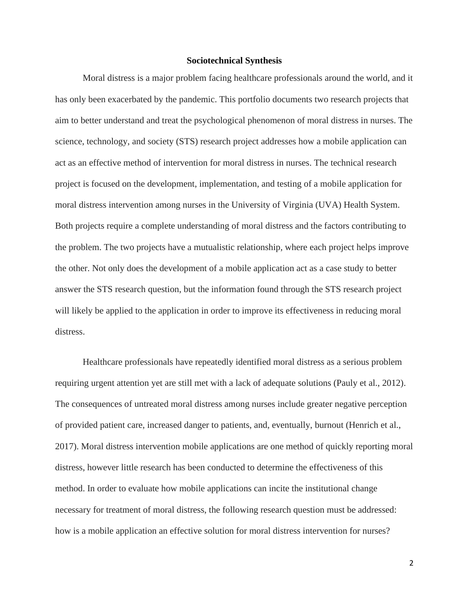#### **Sociotechnical Synthesis**

Moral distress is a major problem facing healthcare professionals around the world, and it has only been exacerbated by the pandemic. This portfolio documents two research projects that aim to better understand and treat the psychological phenomenon of moral distress in nurses. The science, technology, and society (STS) research project addresses how a mobile application can act as an effective method of intervention for moral distress in nurses. The technical research project is focused on the development, implementation, and testing of a mobile application for moral distress intervention among nurses in the University of Virginia (UVA) Health System. Both projects require a complete understanding of moral distress and the factors contributing to the problem. The two projects have a mutualistic relationship, where each project helps improve the other. Not only does the development of a mobile application act as a case study to better answer the STS research question, but the information found through the STS research project will likely be applied to the application in order to improve its effectiveness in reducing moral distress.

Healthcare professionals have repeatedly identified moral distress as a serious problem requiring urgent attention yet are still met with a lack of adequate solutions (Pauly et al., 2012). The consequences of untreated moral distress among nurses include greater negative perception of provided patient care, increased danger to patients, and, eventually, burnout (Henrich et al., 2017). Moral distress intervention mobile applications are one method of quickly reporting moral distress, however little research has been conducted to determine the effectiveness of this method. In order to evaluate how mobile applications can incite the institutional change necessary for treatment of moral distress, the following research question must be addressed: how is a mobile application an effective solution for moral distress intervention for nurses?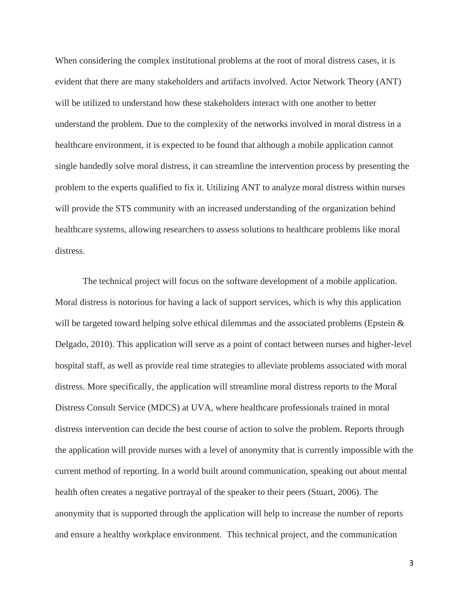When considering the complex institutional problems at the root of moral distress cases, it is evident that there are many stakeholders and artifacts involved. Actor Network Theory (ANT) will be utilized to understand how these stakeholders interact with one another to better understand the problem. Due to the complexity of the networks involved in moral distress in a healthcare environment, it is expected to be found that although a mobile application cannot single handedly solve moral distress, it can streamline the intervention process by presenting the problem to the experts qualified to fix it. Utilizing ANT to analyze moral distress within nurses will provide the STS community with an increased understanding of the organization behind healthcare systems, allowing researchers to assess solutions to healthcare problems like moral distress.

The technical project will focus on the software development of a mobile application. Moral distress is notorious for having a lack of support services, which is why this application will be targeted toward helping solve ethical dilemmas and the associated problems (Epstein & Delgado, 2010). This application will serve as a point of contact between nurses and higher-level hospital staff, as well as provide real time strategies to alleviate problems associated with moral distress. More specifically, the application will streamline moral distress reports to the Moral Distress Consult Service (MDCS) at UVA, where healthcare professionals trained in moral distress intervention can decide the best course of action to solve the problem. Reports through the application will provide nurses with a level of anonymity that is currently impossible with the current method of reporting. In a world built around communication, speaking out about mental health often creates a negative portrayal of the speaker to their peers (Stuart, 2006). The anonymity that is supported through the application will help to increase the number of reports and ensure a healthy workplace environment. This technical project, and the communication

3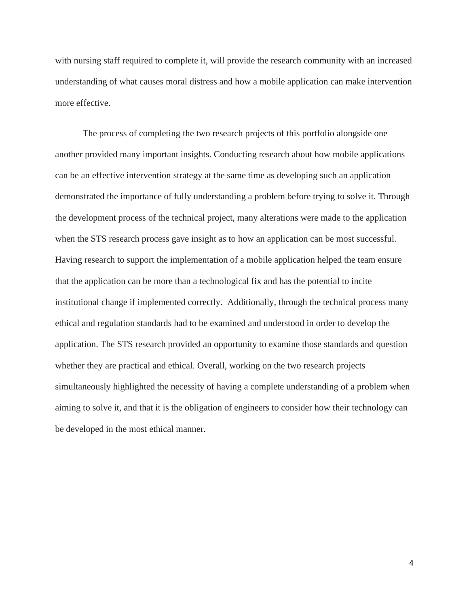with nursing staff required to complete it, will provide the research community with an increased understanding of what causes moral distress and how a mobile application can make intervention more effective.

The process of completing the two research projects of this portfolio alongside one another provided many important insights. Conducting research about how mobile applications can be an effective intervention strategy at the same time as developing such an application demonstrated the importance of fully understanding a problem before trying to solve it. Through the development process of the technical project, many alterations were made to the application when the STS research process gave insight as to how an application can be most successful. Having research to support the implementation of a mobile application helped the team ensure that the application can be more than a technological fix and has the potential to incite institutional change if implemented correctly. Additionally, through the technical process many ethical and regulation standards had to be examined and understood in order to develop the application. The STS research provided an opportunity to examine those standards and question whether they are practical and ethical. Overall, working on the two research projects simultaneously highlighted the necessity of having a complete understanding of a problem when aiming to solve it, and that it is the obligation of engineers to consider how their technology can be developed in the most ethical manner.